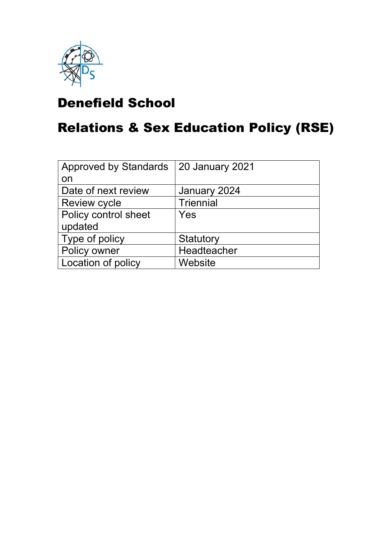

# Denefield School

# Relations & Sex Education Policy (RSE)

| <b>Approved by Standards</b> | <b>20 January 2021</b> |
|------------------------------|------------------------|
| on                           |                        |
| Date of next review          | January 2024           |
| <b>Review cycle</b>          | <b>Triennial</b>       |
| Policy control sheet         | Yes                    |
| updated                      |                        |
| Type of policy               | Statutory              |
| Policy owner                 | Headteacher            |
| Location of policy           | Website                |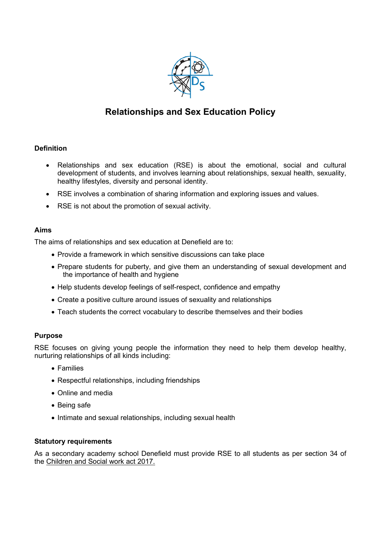

# Relationships and Sex Education Policy

# Definition

- Relationships and sex education (RSE) is about the emotional, social and cultural development of students, and involves learning about relationships, sexual health, sexuality, healthy lifestyles, diversity and personal identity.
- RSE involves a combination of sharing information and exploring issues and values.
- RSE is not about the promotion of sexual activity.

# Aims

The aims of relationships and sex education at Denefield are to:

- Provide a framework in which sensitive discussions can take place
- Prepare students for puberty, and give them an understanding of sexual development and the importance of health and hygiene
- Help students develop feelings of self-respect, confidence and empathy
- Create a positive culture around issues of sexuality and relationships
- Teach students the correct vocabulary to describe themselves and their bodies

# Purpose

RSE focuses on giving young people the information they need to help them develop healthy, nurturing relationships of all kinds including:

- Families
- Respectful relationships, including friendships
- Online and media
- Being safe
- Intimate and sexual relationships, including sexual health

# Statutory requirements

As a secondary academy school Denefield must provide RSE to all students as per section 34 of the Children and Social work act 2017.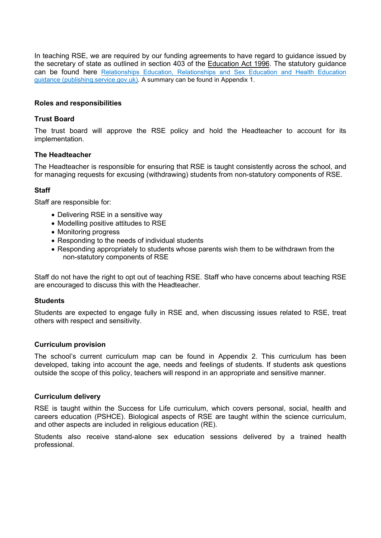In teaching RSE, we are required by our funding agreements to have regard to guidance issued by the secretary of state as outlined in section 403 of the Education Act 1996. The statutory guidance can be found here Relationships Education, Relationships and Sex Education and Health Education guidance (publishing.service.gov.uk). A summary can be found in Appendix 1.

# Roles and responsibilities

### Trust Board

The trust board will approve the RSE policy and hold the Headteacher to account for its implementation.

### The Headteacher

The Headteacher is responsible for ensuring that RSE is taught consistently across the school, and for managing requests for excusing (withdrawing) students from non-statutory components of RSE.

# **Staff**

Staff are responsible for:

- Delivering RSE in a sensitive way
- Modelling positive attitudes to RSE
- Monitoring progress
- Responding to the needs of individual students
- Responding appropriately to students whose parents wish them to be withdrawn from the non-statutory components of RSE

Staff do not have the right to opt out of teaching RSE. Staff who have concerns about teaching RSE are encouraged to discuss this with the Headteacher.

### **Students**

Students are expected to engage fully in RSE and, when discussing issues related to RSE, treat others with respect and sensitivity.

### Curriculum provision

The school's current curriculum map can be found in Appendix 2. This curriculum has been developed, taking into account the age, needs and feelings of students. If students ask questions outside the scope of this policy, teachers will respond in an appropriate and sensitive manner.

### Curriculum delivery

RSE is taught within the Success for Life curriculum, which covers personal, social, health and careers education (PSHCE). Biological aspects of RSE are taught within the science curriculum, and other aspects are included in religious education (RE).

Students also receive stand-alone sex education sessions delivered by a trained health professional.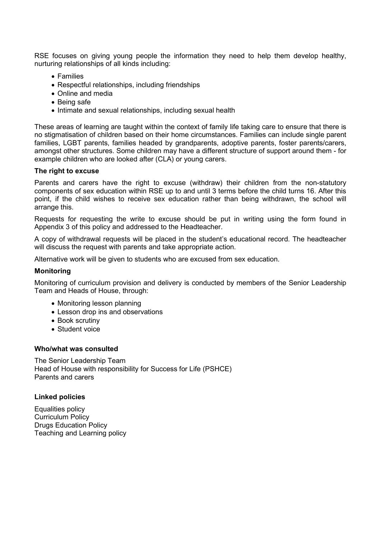RSE focuses on giving young people the information they need to help them develop healthy, nurturing relationships of all kinds including:

- Families
- Respectful relationships, including friendships
- Online and media
- Being safe
- Intimate and sexual relationships, including sexual health

These areas of learning are taught within the context of family life taking care to ensure that there is no stigmatisation of children based on their home circumstances. Families can include single parent families, LGBT parents, families headed by grandparents, adoptive parents, foster parents/carers, amongst other structures. Some children may have a different structure of support around them - for example children who are looked after (CLA) or young carers.

### The right to excuse

Parents and carers have the right to excuse (withdraw) their children from the non-statutory components of sex education within RSE up to and until 3 terms before the child turns 16. After this point, if the child wishes to receive sex education rather than being withdrawn, the school will arrange this.

Requests for requesting the write to excuse should be put in writing using the form found in Appendix 3 of this policy and addressed to the Headteacher.

A copy of withdrawal requests will be placed in the student's educational record. The headteacher will discuss the request with parents and take appropriate action.

Alternative work will be given to students who are excused from sex education.

### **Monitoring**

Monitoring of curriculum provision and delivery is conducted by members of the Senior Leadership Team and Heads of House, through:

- Monitoring lesson planning
- Lesson drop ins and observations
- Book scrutiny
- Student voice

### Who/what was consulted

The Senior Leadership Team Head of House with responsibility for Success for Life (PSHCE) Parents and carers

### Linked policies

Equalities policy Curriculum Policy Drugs Education Policy Teaching and Learning policy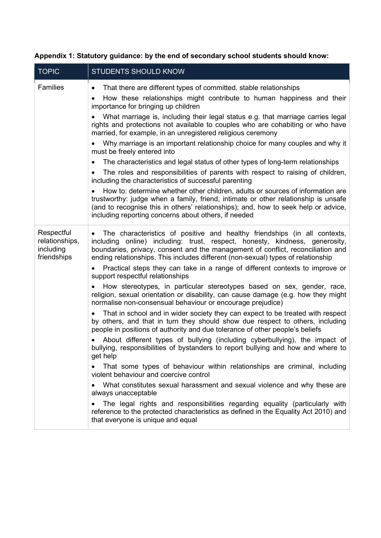| <b>TOPIC</b>                                             | <b>STUDENTS SHOULD KNOW</b>                                                                                                                                                                                                                                                                                                                                                                                                                                                                                                                                                                                                                                                                                                                                                                                                                                                                                                                                                                                                                                                                                                                                                                                                                                                                                                                    |
|----------------------------------------------------------|------------------------------------------------------------------------------------------------------------------------------------------------------------------------------------------------------------------------------------------------------------------------------------------------------------------------------------------------------------------------------------------------------------------------------------------------------------------------------------------------------------------------------------------------------------------------------------------------------------------------------------------------------------------------------------------------------------------------------------------------------------------------------------------------------------------------------------------------------------------------------------------------------------------------------------------------------------------------------------------------------------------------------------------------------------------------------------------------------------------------------------------------------------------------------------------------------------------------------------------------------------------------------------------------------------------------------------------------|
| <b>Families</b>                                          | That there are different types of committed, stable relationships<br>$\bullet$<br>How these relationships might contribute to human happiness and their<br>$\bullet$<br>importance for bringing up children<br>What marriage is, including their legal status e.g. that marriage carries legal<br>rights and protections not available to couples who are cohabiting or who have<br>married, for example, in an unregistered religious ceremony<br>Why marriage is an important relationship choice for many couples and why it<br>must be freely entered into<br>The characteristics and legal status of other types of long-term relationships<br>The roles and responsibilities of parents with respect to raising of children,<br>including the characteristics of successful parenting<br>How to: determine whether other children, adults or sources of information are<br>trustworthy: judge when a family, friend, intimate or other relationship is unsafe<br>(and to recognise this in others' relationships); and, how to seek help or advice,                                                                                                                                                                                                                                                                                      |
|                                                          | including reporting concerns about others, if needed                                                                                                                                                                                                                                                                                                                                                                                                                                                                                                                                                                                                                                                                                                                                                                                                                                                                                                                                                                                                                                                                                                                                                                                                                                                                                           |
| Respectful<br>relationships,<br>including<br>friendships | The characteristics of positive and healthy friendships (in all contexts,<br>$\bullet$<br>including online) including: trust, respect, honesty, kindness, generosity,<br>boundaries, privacy, consent and the management of conflict, reconciliation and<br>ending relationships. This includes different (non-sexual) types of relationship<br>Practical steps they can take in a range of different contexts to improve or<br>$\bullet$<br>support respectful relationships<br>How stereotypes, in particular stereotypes based on sex, gender, race,<br>religion, sexual orientation or disability, can cause damage (e.g. how they might<br>normalise non-consensual behaviour or encourage prejudice)<br>That in school and in wider society they can expect to be treated with respect<br>by others, and that in turn they should show due respect to others, including<br>people in positions of authority and due tolerance of other people's beliefs<br>About different types of bullying (including cyberbullying), the impact of<br>bullying, responsibilities of bystanders to report bullying and how and where to<br>get help<br>That some types of behaviour within relationships are criminal, including<br>violent behaviour and coercive control<br>What constitutes sexual harassment and sexual violence and why these are |
|                                                          | always unacceptable<br>The legal rights and responsibilities regarding equality (particularly with<br>reference to the protected characteristics as defined in the Equality Act 2010) and<br>that everyone is unique and equal                                                                                                                                                                                                                                                                                                                                                                                                                                                                                                                                                                                                                                                                                                                                                                                                                                                                                                                                                                                                                                                                                                                 |

# Appendix 1: Statutory guidance: by the end of secondary school students should know: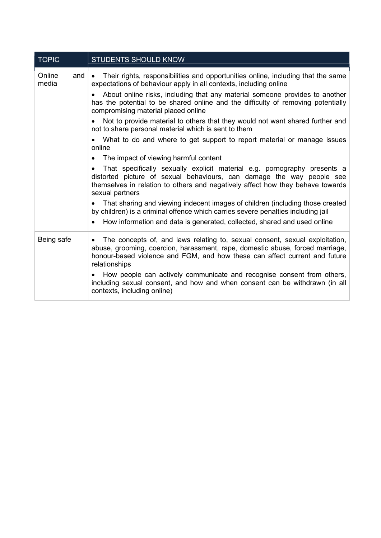| <b>TOPIC</b>           | STUDENTS SHOULD KNOW                                                                                                                                                                                                                                                                                                                                                                                                                                                                                                                                                                                                                                                                                                                                                                                                                                                                                                                                                                                                     |
|------------------------|--------------------------------------------------------------------------------------------------------------------------------------------------------------------------------------------------------------------------------------------------------------------------------------------------------------------------------------------------------------------------------------------------------------------------------------------------------------------------------------------------------------------------------------------------------------------------------------------------------------------------------------------------------------------------------------------------------------------------------------------------------------------------------------------------------------------------------------------------------------------------------------------------------------------------------------------------------------------------------------------------------------------------|
| Online<br>and<br>media | Their rights, responsibilities and opportunities online, including that the same<br>expectations of behaviour apply in all contexts, including online<br>About online risks, including that any material someone provides to another<br>has the potential to be shared online and the difficulty of removing potentially<br>compromising material placed online<br>Not to provide material to others that they would not want shared further and<br>not to share personal material which is sent to them<br>What to do and where to get support to report material or manage issues<br>$\bullet$<br>online<br>The impact of viewing harmful content<br>$\bullet$<br>That specifically sexually explicit material e.g. pornography presents a<br>distorted picture of sexual behaviours, can damage the way people see<br>themselves in relation to others and negatively affect how they behave towards<br>sexual partners<br>That sharing and viewing indecent images of children (including those created<br>$\bullet$ |
|                        | by children) is a criminal offence which carries severe penalties including jail<br>How information and data is generated, collected, shared and used online                                                                                                                                                                                                                                                                                                                                                                                                                                                                                                                                                                                                                                                                                                                                                                                                                                                             |
| Being safe             | The concepts of, and laws relating to, sexual consent, sexual exploitation,<br>$\bullet$<br>abuse, grooming, coercion, harassment, rape, domestic abuse, forced marriage,<br>honour-based violence and FGM, and how these can affect current and future<br>relationships<br>How people can actively communicate and recognise consent from others,<br>including sexual consent, and how and when consent can be withdrawn (in all<br>contexts, including online)                                                                                                                                                                                                                                                                                                                                                                                                                                                                                                                                                         |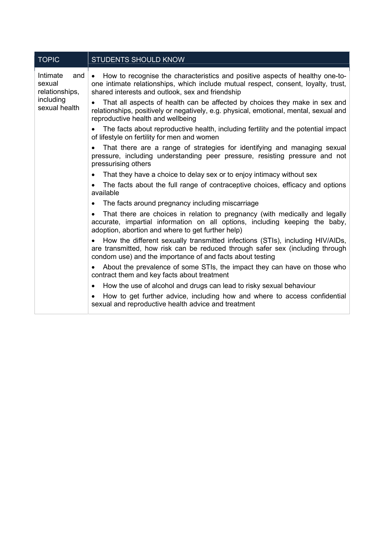| <b>TOPIC</b>                                                              | <b>STUDENTS SHOULD KNOW</b>                                                                                                                                                                                                  |  |
|---------------------------------------------------------------------------|------------------------------------------------------------------------------------------------------------------------------------------------------------------------------------------------------------------------------|--|
| Intimate<br>and<br>sexual<br>relationships,<br>including<br>sexual health | How to recognise the characteristics and positive aspects of healthy one-to-<br>one intimate relationships, which include mutual respect, consent, loyalty, trust,<br>shared interests and outlook, sex and friendship       |  |
|                                                                           | That all aspects of health can be affected by choices they make in sex and<br>$\bullet$<br>relationships, positively or negatively, e.g. physical, emotional, mental, sexual and<br>reproductive health and wellbeing        |  |
|                                                                           | The facts about reproductive health, including fertility and the potential impact<br>of lifestyle on fertility for men and women                                                                                             |  |
|                                                                           | That there are a range of strategies for identifying and managing sexual<br>pressure, including understanding peer pressure, resisting pressure and not<br>pressurising others                                               |  |
|                                                                           | That they have a choice to delay sex or to enjoy intimacy without sex                                                                                                                                                        |  |
|                                                                           | The facts about the full range of contraceptive choices, efficacy and options<br>available                                                                                                                                   |  |
|                                                                           | The facts around pregnancy including miscarriage<br>$\bullet$                                                                                                                                                                |  |
|                                                                           | That there are choices in relation to pregnancy (with medically and legally<br>$\bullet$<br>accurate, impartial information on all options, including keeping the baby,<br>adoption, abortion and where to get further help) |  |
|                                                                           | How the different sexually transmitted infections (STIs), including HIV/AIDs,<br>are transmitted, how risk can be reduced through safer sex (including through<br>condom use) and the importance of and facts about testing  |  |
|                                                                           | About the prevalence of some STIs, the impact they can have on those who<br>contract them and key facts about treatment                                                                                                      |  |
|                                                                           | How the use of alcohol and drugs can lead to risky sexual behaviour<br>$\bullet$                                                                                                                                             |  |
|                                                                           | How to get further advice, including how and where to access confidential<br>sexual and reproductive health advice and treatment                                                                                             |  |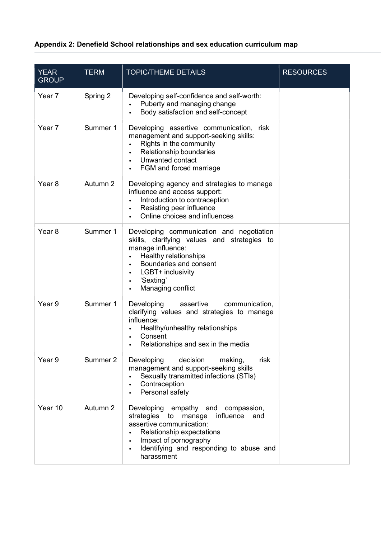# Appendix 2: Denefield School relationships and sex education curriculum map

| <b>YEAR</b><br><b>GROUP</b> | <b>TERM</b> | <b>TOPIC/THEME DETAILS</b>                                                                                                                                                                                                         | <b>RESOURCES</b> |
|-----------------------------|-------------|------------------------------------------------------------------------------------------------------------------------------------------------------------------------------------------------------------------------------------|------------------|
| Year 7                      | Spring 2    | Developing self-confidence and self-worth:<br>Puberty and managing change<br>Body satisfaction and self-concept                                                                                                                    |                  |
| Year 7                      | Summer 1    | Developing assertive communication, risk<br>management and support-seeking skills:<br>Rights in the community<br>Relationship boundaries<br>Unwanted contact<br>FGM and forced marriage                                            |                  |
| Year <sub>8</sub>           | Autumn 2    | Developing agency and strategies to manage<br>influence and access support:<br>Introduction to contraception<br>Resisting peer influence<br>Online choices and influences                                                          |                  |
| Year <sub>8</sub>           | Summer 1    | Developing communication and negotiation<br>skills, clarifying values and strategies to<br>manage influence:<br>Healthy relationships<br>Boundaries and consent<br>LGBT+ inclusivity<br>'Sexting'<br>Managing conflict             |                  |
| Year 9                      | Summer 1    | Developing<br>assertive<br>communication,<br>clarifying values and strategies to manage<br>influence:<br>Healthy/unhealthy relationships<br>Consent<br>Relationships and sex in the media                                          |                  |
| Year 9                      | Summer 2    | decision<br>Developing<br>making,<br>risk<br>management and support-seeking skills<br>Sexually transmitted infections (STIs)<br>Contraception<br>Personal safety                                                                   |                  |
| Year 10                     | Autumn 2    | Developing<br>empathy and compassion,<br>strategies<br>influence<br>manage<br>to<br>and<br>assertive communication:<br>Relationship expectations<br>Impact of pornography<br>Identifying and responding to abuse and<br>harassment |                  |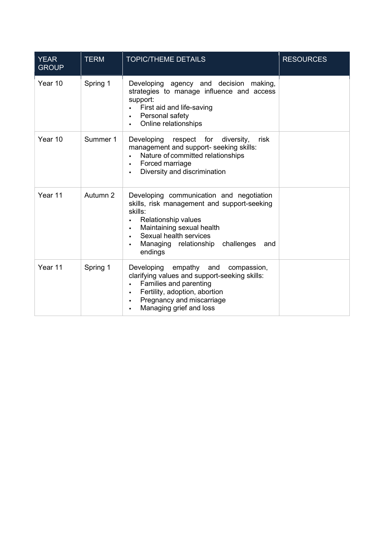| <b>YEAR</b><br><b>GROUP</b> | <b>TERM</b> | <b>TOPIC/THEME DETAILS</b>                                                                                                                                                                                                                    | <b>RESOURCES</b> |
|-----------------------------|-------------|-----------------------------------------------------------------------------------------------------------------------------------------------------------------------------------------------------------------------------------------------|------------------|
| Year 10                     | Spring 1    | Developing agency and decision making,<br>strategies to manage influence and access<br>support:<br>First aid and life-saving<br>Personal safety<br>$\bullet$<br>Online relationships                                                          |                  |
| Year 10                     | Summer 1    | respect for<br>Developing<br>diversity,<br>risk<br>management and support- seeking skills:<br>Nature of committed relationships<br>Forced marriage<br>Diversity and discrimination<br>$\bullet$                                               |                  |
| Year 11                     | Autumn 2    | Developing communication and negotiation<br>skills, risk management and support-seeking<br>skills:<br><b>Relationship values</b><br>Maintaining sexual health<br>Sexual health services<br>Managing relationship challenges<br>and<br>endings |                  |
| Year 11                     | Spring 1    | Developing empathy and<br>compassion,<br>clarifying values and support-seeking skills:<br>Families and parenting<br>Fertility, adoption, abortion<br>$\bullet$<br>Pregnancy and miscarriage<br>$\bullet$<br>Managing grief and loss           |                  |